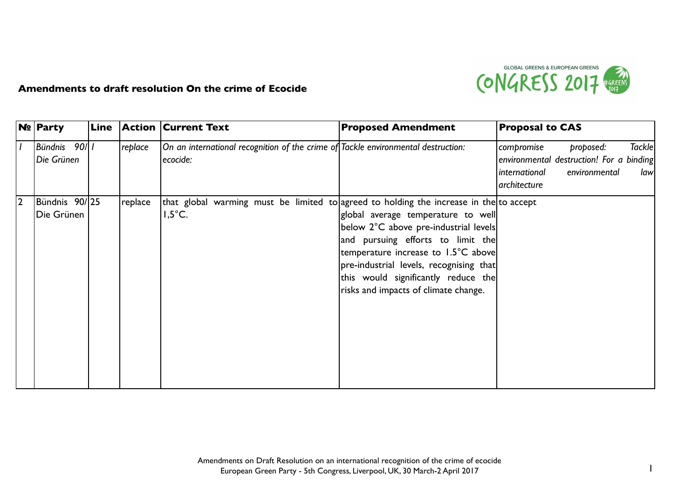

## **Amendments to draft resolution On the crime of Ecocide**

|   | $N2$ Party                    | Line |         | <b>Action Current Text</b>                                                                                 | <b>Proposed Amendment</b>                                                                                                                                                                                                                                                         | <b>Proposal to CAS</b>                                                                                                                        |
|---|-------------------------------|------|---------|------------------------------------------------------------------------------------------------------------|-----------------------------------------------------------------------------------------------------------------------------------------------------------------------------------------------------------------------------------------------------------------------------------|-----------------------------------------------------------------------------------------------------------------------------------------------|
|   | 90/1<br>Bündnis<br>Die Grünen |      | replace | On an international recognition of the crime of Tackle environmental destruction:<br>ecocide:              |                                                                                                                                                                                                                                                                                   | <b>Tackle</b><br>compromise<br>proposed:<br>environmental destruction! For a binding<br>international<br>environmental<br>law<br>architecture |
| 2 | Bündnis 90/25<br>Die Grünen   |      | replace | that global warming must be limited to agreed to holding the increase in the to accept<br>$1,5^{\circ}$ C. | global average temperature to well<br>below 2°C above pre-industrial levels<br>and pursuing efforts to limit the<br>temperature increase to 1.5°C above<br>pre-industrial levels, recognising that<br>this would significantly reduce the<br>risks and impacts of climate change. |                                                                                                                                               |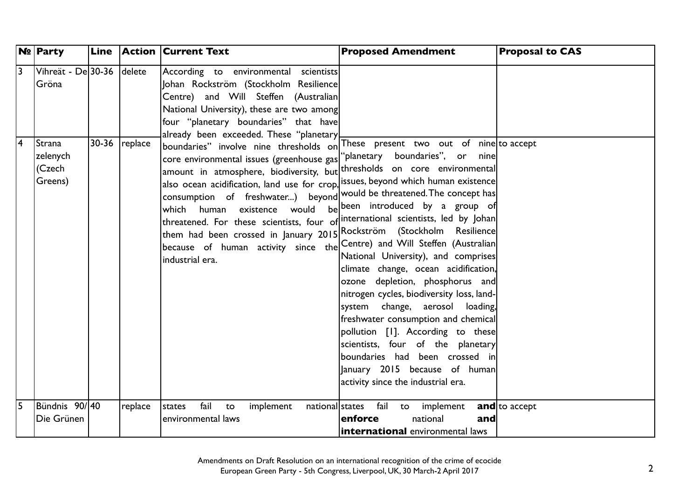|                | Nº Party                                | Line      |         | <b>Action Current Text</b>                                                                                                                                                                                                                                                                                                                                                                                                                                                                                                                                                                                                                                           | <b>Proposed Amendment</b>                                                                                                                                                                                                                                                                                                                                                                                                                                                                                                                     | <b>Proposal to CAS</b> |
|----------------|-----------------------------------------|-----------|---------|----------------------------------------------------------------------------------------------------------------------------------------------------------------------------------------------------------------------------------------------------------------------------------------------------------------------------------------------------------------------------------------------------------------------------------------------------------------------------------------------------------------------------------------------------------------------------------------------------------------------------------------------------------------------|-----------------------------------------------------------------------------------------------------------------------------------------------------------------------------------------------------------------------------------------------------------------------------------------------------------------------------------------------------------------------------------------------------------------------------------------------------------------------------------------------------------------------------------------------|------------------------|
| $\vert$ 3      | Vihreät - De $30-36$<br>Gröna           |           | delete  | According to environmental scientists<br>Johan Rockström (Stockholm Resilience<br>Centre) and Will Steffen (Australian<br>National University), these are two among<br>four "planetary boundaries" that have<br>already been exceeded. These "planetary                                                                                                                                                                                                                                                                                                                                                                                                              |                                                                                                                                                                                                                                                                                                                                                                                                                                                                                                                                               |                        |
| 4              | Strana<br>zelenych<br>(Czech<br>Greens) | $30 - 36$ | replace | boundaries" involve nine thresholds on<br>core environmental issues (greenhouse gas)<br>amount in atmosphere, biodiversity, $b$ ut $ $ thresholds on core environmental $ $<br>also ocean acidification, land use for ${\rm crop}_s^{\parallel}$ issues, beyond which human existence<br>$\sim$ consumption of freshwater) beyond would be threatened. The concept has<br>existence would<br>which human<br>threatened. For these scientists, four of international scientists, led by Johan<br>them had been crossed in January 2015 Rockström (Stockholm Resilience<br>because of human activity since the Centre) and Will Steffen (Australian<br>industrial era. | These present two out of nine to accept<br>"planetary boundaries", or<br>nine<br>be been introduced by a group of<br>National University), and comprises<br>climate change, ocean acidification,<br>ozone depletion, phosphorus and<br>nitrogen cycles, biodiversity loss, land-<br>system change, aerosol loading,<br>freshwater consumption and chemical<br>pollution [1]. According to these<br>scientists, four of the planetary<br>boundaries had been crossed in<br>January 2015 because of human<br>activity since the industrial era. |                        |
| $\overline{5}$ | Bündnis 90/40<br>Die Grünen             |           | replace | fail<br>national states<br>to<br>implement<br>states<br>environmental laws                                                                                                                                                                                                                                                                                                                                                                                                                                                                                                                                                                                           | fail<br>implement<br>to<br>enforce<br>national<br>and<br><b>international</b> environmental laws                                                                                                                                                                                                                                                                                                                                                                                                                                              | and to accept          |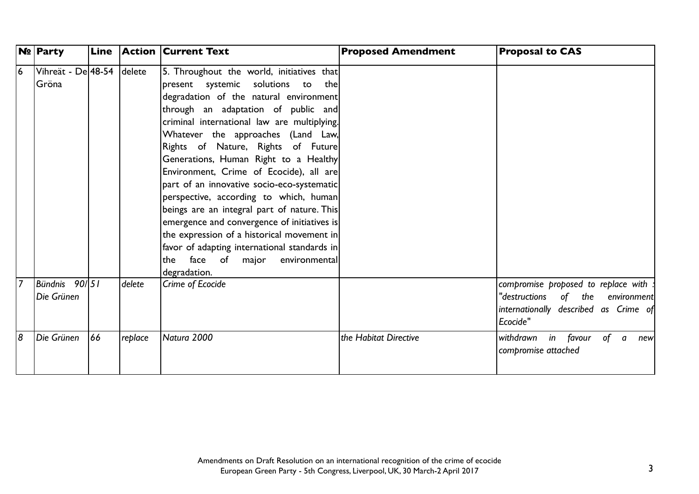|                | $N2$ Party                   | Line |         | <b>Action Current Text</b>                                                                                                                                                                                                                                                                                                                                                                                                                                                                                                                                                                                                                                                                                                      | <b>Proposed Amendment</b> | <b>Proposal to CAS</b>                                                                                                               |
|----------------|------------------------------|------|---------|---------------------------------------------------------------------------------------------------------------------------------------------------------------------------------------------------------------------------------------------------------------------------------------------------------------------------------------------------------------------------------------------------------------------------------------------------------------------------------------------------------------------------------------------------------------------------------------------------------------------------------------------------------------------------------------------------------------------------------|---------------------------|--------------------------------------------------------------------------------------------------------------------------------------|
| $\overline{6}$ | Vihreät - De 48-54<br>Gröna  |      | delete  | 5. Throughout the world, initiatives that<br>present systemic solutions<br>thel<br>to<br>degradation of the natural environment<br>through an adaptation of public and<br>criminal international law are multiplying.<br>Whatever the approaches (Land Law,<br>Rights of Nature, Rights of Future<br>Generations, Human Right to a Healthy<br>Environment, Crime of Ecocide), all are<br>part of an innovative socio-eco-systematic<br>perspective, according to which, human<br>beings are an integral part of nature. This<br>emergence and convergence of initiatives is<br>the expression of a historical movement in<br>favor of adapting international standards in<br>face of major environmental<br>the<br>degradation. |                           |                                                                                                                                      |
|                | Bündnis 90/ 51<br>Die Grünen |      | delete  | Crime of Ecocide                                                                                                                                                                                                                                                                                                                                                                                                                                                                                                                                                                                                                                                                                                                |                           | compromise proposed to replace with :<br>"destructions<br>of the<br>environment<br>internationally described as Crime of<br>Ecocide" |
| $\overline{8}$ | Die Grünen                   | 66   | replace | Natura 2000                                                                                                                                                                                                                                                                                                                                                                                                                                                                                                                                                                                                                                                                                                                     | the Habitat Directive     | withdrawn in favour<br>$of$ $a$<br>new<br>compromise attached                                                                        |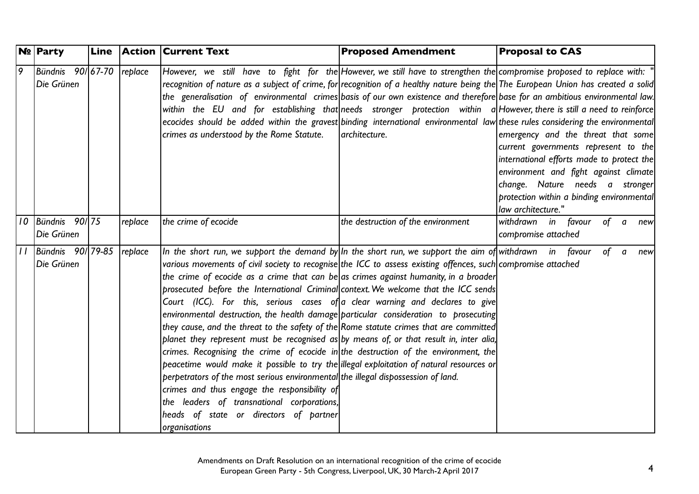|   | $N2$ Party                           | Line |         | <b>Action Current Text</b>                                                                                                                                                                                                                                                                                                                                                                                                                                                                                                                                                                                                                                                                                                                                                                                                                                                                                                                                                                                                                                                                                                                                                                                                                         | <b>Proposed Amendment</b>          | <b>Proposal to CAS</b>                                                                                                                                                                                                                                                 |
|---|--------------------------------------|------|---------|----------------------------------------------------------------------------------------------------------------------------------------------------------------------------------------------------------------------------------------------------------------------------------------------------------------------------------------------------------------------------------------------------------------------------------------------------------------------------------------------------------------------------------------------------------------------------------------------------------------------------------------------------------------------------------------------------------------------------------------------------------------------------------------------------------------------------------------------------------------------------------------------------------------------------------------------------------------------------------------------------------------------------------------------------------------------------------------------------------------------------------------------------------------------------------------------------------------------------------------------------|------------------------------------|------------------------------------------------------------------------------------------------------------------------------------------------------------------------------------------------------------------------------------------------------------------------|
| 9 | Bündnis 90/ 67-70<br>Die Grünen      |      | replace | However, we still have to fight for the However, we still have to strengthen the compromise proposed to replace with: "<br>recognition of nature as a subject of crime, for recognition of a healthy nature being the The European Union has created a solid<br>the generalisation of environmental crimes basis of our own existence and therefore base for an ambitious environmental law.<br>within the EU and for establishing that needs stronger protection within a However, there is still a need to reinforce<br>ecocides should be added within the gravest binding international environmental law these rules considering the environmental<br>crimes as understood by the Rome Statute.                                                                                                                                                                                                                                                                                                                                                                                                                                                                                                                                               | architecture.                      | emergency and the threat that some<br>current governments represent to the<br>international efforts made to protect the<br>environment and fight against climate<br>change. Nature needs a stronger<br>protection within a binding environmental<br>law architecture." |
|   | 10 Bündnis<br>90/75<br>Die Grünen    |      | replace | the crime of ecocide                                                                                                                                                                                                                                                                                                                                                                                                                                                                                                                                                                                                                                                                                                                                                                                                                                                                                                                                                                                                                                                                                                                                                                                                                               | the destruction of the environment | withdrawn in favour of a<br>new<br>compromise attached                                                                                                                                                                                                                 |
|   | 11   Bündnis 90/ 79-85<br>Die Grünen |      | replace | $\vert$ In the short run, we support the demand by $\vert$ In the short run, we support the aim of $\vert$ withdrawn $\;$ in favour $\;$ of $\;$ a<br>various movements of civil society to recognise the ICC to assess existing offences, such compromise attached<br>the crime of ecocide as a crime that can be as crimes against humanity, in a broader<br>prosecuted before the International Criminal context. We welcome that the ICC sends<br>Court (ICC). For this, serious cases of a clear warning and declares to give<br>environmental destruction, the health damage particular consideration to prosecuting<br>they cause, and the threat to the safety of the Rome statute crimes that are committed<br>planet they represent must be recognised as by means of, or that result in, inter alia,<br>crimes. Recognising the crime of ecocide in the destruction of the environment, the<br>peacetime would make it possible to try the illegal exploitation of natural resources or<br>perpetrators of the most serious environmental the illegal dispossession of land.<br>crimes and thus engage the responsibility of<br>the leaders of transnational corporations,<br>heads of state or directors of partner<br>  organisations |                                    | new                                                                                                                                                                                                                                                                    |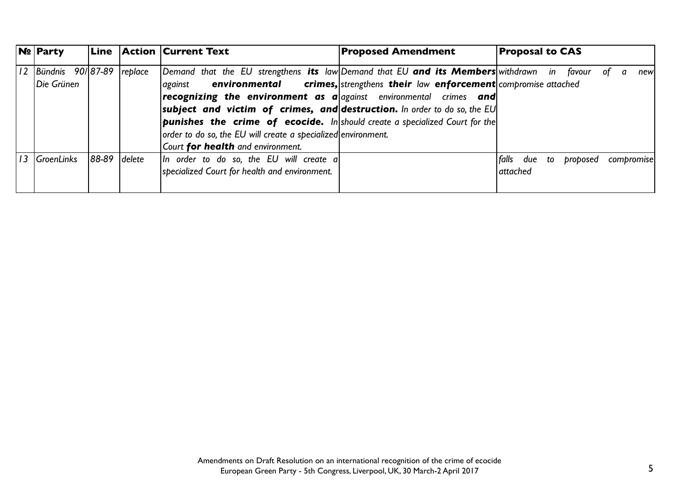| <b>No Party</b>        |       |         | $ $ Line $ $ Action $ $ Current Text                                                         | <b>Proposed Amendment</b>                                                          | <b>Proposal to CAS</b>                 |
|------------------------|-------|---------|----------------------------------------------------------------------------------------------|------------------------------------------------------------------------------------|----------------------------------------|
| 12   Bündnis 90/ 87-89 |       | replace | Demand that the EU strengthens its law Demand that EU and its Members withdrawn in favour of |                                                                                    | a<br>newl                              |
| Die Grünen             |       |         | environmental<br>  against                                                                   | <b>crimes,</b> strengthens <b>their</b> law <b>enforcement</b> compromise attached |                                        |
|                        |       |         | <b>recognizing the environment as a</b> $ $ against environmental crimes <b>and</b>          |                                                                                    |                                        |
|                        |       |         | subject and victim of crimes, and destruction. In order to do so, the EU                     |                                                                                    |                                        |
|                        |       |         | <b>punishes the crime of ecocide.</b> In should create a specialized Court for the           |                                                                                    |                                        |
|                        |       |         | order to do so, the EU will create a specialized environment.                                |                                                                                    |                                        |
|                        |       |         | Court for health and environment.                                                            |                                                                                    |                                        |
| GroenLinks             | 88-89 | delete  | In order to do so, the EU will create a                                                      |                                                                                    | falls due to<br>proposed<br>compromise |
|                        |       |         | specialized Court for health and environment.                                                |                                                                                    | attached                               |
|                        |       |         |                                                                                              |                                                                                    |                                        |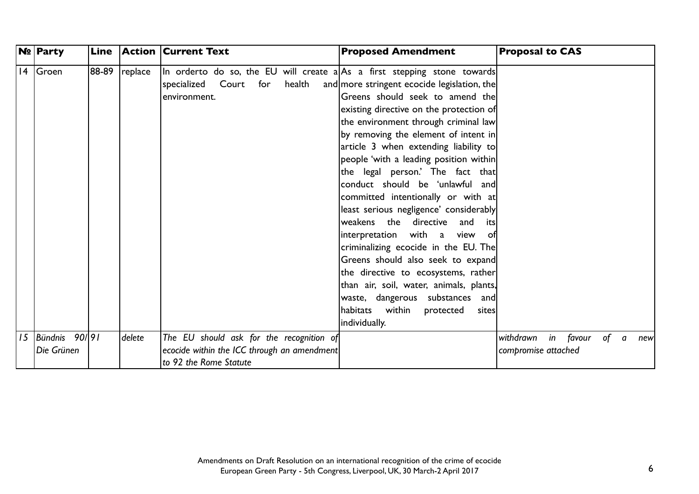|    | Nº Party       | Line  |         | Action   Current Text                                                                                                         | <b>Proposed Amendment</b>                                                                                                                                                                                                                                                                                                                                                                                                                                                                                                                                                                                                                                                                                                                                                                 | <b>Proposal to CAS</b>                          |
|----|----------------|-------|---------|-------------------------------------------------------------------------------------------------------------------------------|-------------------------------------------------------------------------------------------------------------------------------------------------------------------------------------------------------------------------------------------------------------------------------------------------------------------------------------------------------------------------------------------------------------------------------------------------------------------------------------------------------------------------------------------------------------------------------------------------------------------------------------------------------------------------------------------------------------------------------------------------------------------------------------------|-------------------------------------------------|
|    | $ 4 $ Groen    | 88-89 | replace | In orderto do so, the EU will create $a As$ a first stepping stone towards<br>specialized Court for<br>health<br>environment. | and more stringent ecocide legislation, the<br>Greens should seek to amend the<br>existing directive on the protection of<br>the environment through criminal law<br>by removing the element of intent in<br>article 3 when extending liability to<br>people 'with a leading position within<br>the legal person.' The fact that<br>conduct should be 'unlawful and<br>committed intentionally or with at<br>least serious negligence' considerably<br>weakens the directive and<br>itsl<br>interpretation with a view<br>ofl<br>criminalizing ecocide in the EU. The<br>Greens should also seek to expand<br>the directive to ecosystems, rather<br>than air, soil, water, animals, plants,<br>waste, dangerous substances and<br>habitats within<br>protected<br>sites<br>individually. |                                                 |
| 15 | Bündnis 90/ 91 |       | delete  | The EU should ask for the recognition of                                                                                      |                                                                                                                                                                                                                                                                                                                                                                                                                                                                                                                                                                                                                                                                                                                                                                                           | withdrawn in<br>favour<br>of<br>$\sigma$<br>new |
|    | Die Grünen     |       |         | ecocide within the ICC through an amendment                                                                                   |                                                                                                                                                                                                                                                                                                                                                                                                                                                                                                                                                                                                                                                                                                                                                                                           | compromise attached                             |
|    |                |       |         | to 92 the Rome Statute                                                                                                        |                                                                                                                                                                                                                                                                                                                                                                                                                                                                                                                                                                                                                                                                                                                                                                                           |                                                 |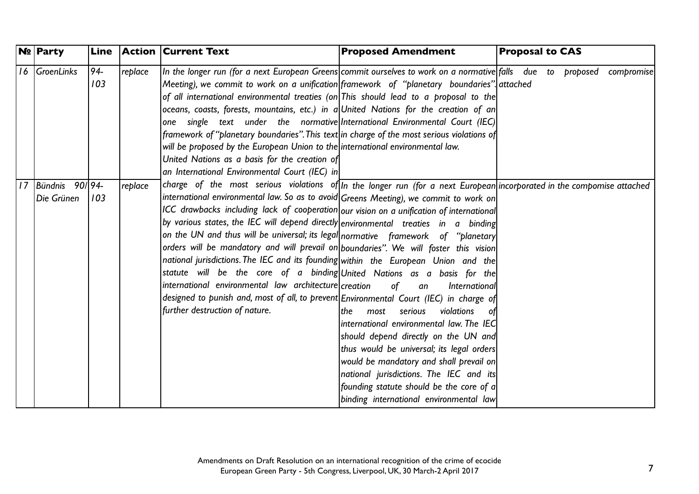|    | Nº Party              | Line           |         | <b>Action   Current Text</b>                                                                                                                                                                                                                                                                                                                                                                                                                                                                                                                                                                                                                                                                                                                                                                                                                                                                                                                                                                                                                              | <b>Proposed Amendment</b>                                                                                                                                                                                                                                                                                                                                                                      | <b>Proposal to CAS</b> |
|----|-----------------------|----------------|---------|-----------------------------------------------------------------------------------------------------------------------------------------------------------------------------------------------------------------------------------------------------------------------------------------------------------------------------------------------------------------------------------------------------------------------------------------------------------------------------------------------------------------------------------------------------------------------------------------------------------------------------------------------------------------------------------------------------------------------------------------------------------------------------------------------------------------------------------------------------------------------------------------------------------------------------------------------------------------------------------------------------------------------------------------------------------|------------------------------------------------------------------------------------------------------------------------------------------------------------------------------------------------------------------------------------------------------------------------------------------------------------------------------------------------------------------------------------------------|------------------------|
|    | 16 GroenLinks         | 94-<br>103     | replace | In the longer run (for a next European Greens commit ourselves to work on a normative falls due to proposed compromise<br> Meeting), we commit to work on a unification framework of "planetary boundaries". attached<br>of all international environmental treaties (on This should lead to a proposal to the<br> oceans, coasts, forests, mountains, etc.) in a United Nations for the creation of an<br> one single text under the normative International Environmental Court (IEC) <br> framework of "planetary boundaries". This text in charge of the most serious violations of<br>will be proposed by the European Union to the international environmental law.<br>United Nations as a basis for the creation of<br>an International Environmental Court (IEC) in                                                                                                                                                                                                                                                                               |                                                                                                                                                                                                                                                                                                                                                                                                |                        |
| 17 | Bündnis<br>Die Grünen | 90/ 94-<br>103 | replace | charge of the most serious violations of In the longer run (for a next European incorporated in the compomise attached<br>$ $ international environmental law. So as to avoid $ $ Greens Meeting), we commit to work on $ $<br> ICC drawbacks including lack of cooperation our vision on a unification of international <br>$\vert$ by various states, the IEC will depend directly $\vert$ environmental treaties in a binding<br>on the UN and thus will be universal; its legal $\parallel$ normative $\parallel$ framework $\parallel$ of "planetary $\parallel$<br>orders will be mandatory and will prevail on boundaries". We will foster this vision<br>  national jurisdictions. The IEC and its founding within the European Union and the<br>$ $ statute will be the core of a binding $ $ United Nations as a basis for the $ $<br>international environmental law architecture creation<br>$ \mathsf{designed}$ to punish and, most of all, to prevent $ \mathsf{Environmental}$ Court (IEC) in charge of<br>further destruction of nature. | $\circ f$<br><i>International</i><br>an<br>serious<br>most<br>violations<br>lthe<br>international environmental law. The IEC<br>should depend directly on the UN and<br>thus would be universal; its legal orders<br>would be mandatory and shall prevail on<br>national jurisdictions. The IEC and its<br>founding statute should be the core of a<br>binding international environmental law |                        |